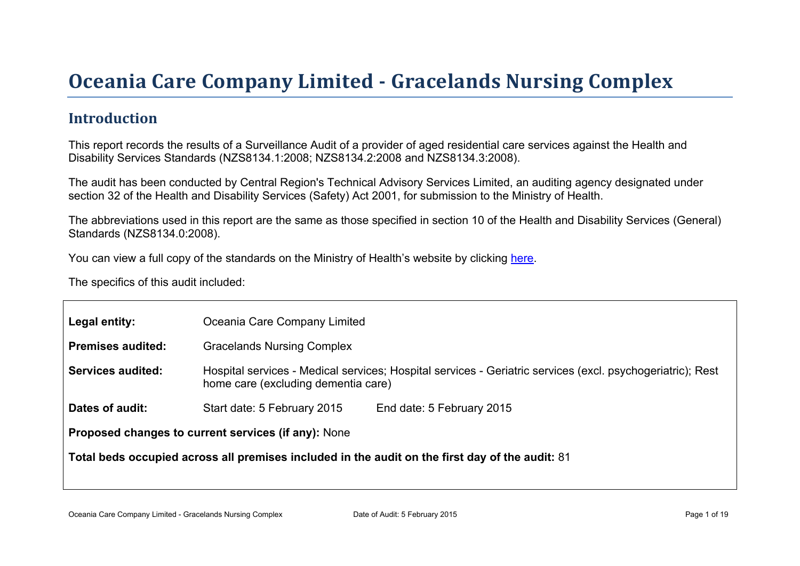# Oceania Car e Company Limited - Gr acelands Nur sing Complex

### Introduction

This report records the results of a Surveillance Audit of a provider of aged residential care services against the Health and Disability Services Standards (NZS8134.1:2008; NZS8134.2:2008 and NZS8134.3:2008).

The audit has been conducted by Central Region's Technical Advisory Services Limited, an auditing agency designated under section 32 of the Health and Disability Services (Safety) Act 2001, for submission to the Ministry of Health.

The abbreviations used in this report are the same as those specified in section 10 of the Health and Disability Services (General) Standards (NZS8134.0:2008).

You can view a full copy of the standards on the Ministry of Health's website by clicking [here.](http://www.health.govt.nz/our-work/regulation-health-and-disability-system/certification-health-care-services/health-and-disability-services-standards)

The specifics of this audit included:

| Legal entity:                                                                                      | Oceania Care Company Limited                                                                                                                      |                           |  |  |
|----------------------------------------------------------------------------------------------------|---------------------------------------------------------------------------------------------------------------------------------------------------|---------------------------|--|--|
| Premises audited:                                                                                  | <b>Gracelands Nursing Complex</b>                                                                                                                 |                           |  |  |
| Services audited:                                                                                  | Hospital services - Medical services; Hospital services - Geriatric services (excl. psychogeriatric); Rest<br>home care (excluding dementia care) |                           |  |  |
| Dates of audit:                                                                                    | Start date: 5 February 2015                                                                                                                       | End date: 5 February 2015 |  |  |
| Proposed changes to current<br>services (if any): None                                             |                                                                                                                                                   |                           |  |  |
| Total beds occupied across all premises included<br>in the audit on the first day of the audit: 81 |                                                                                                                                                   |                           |  |  |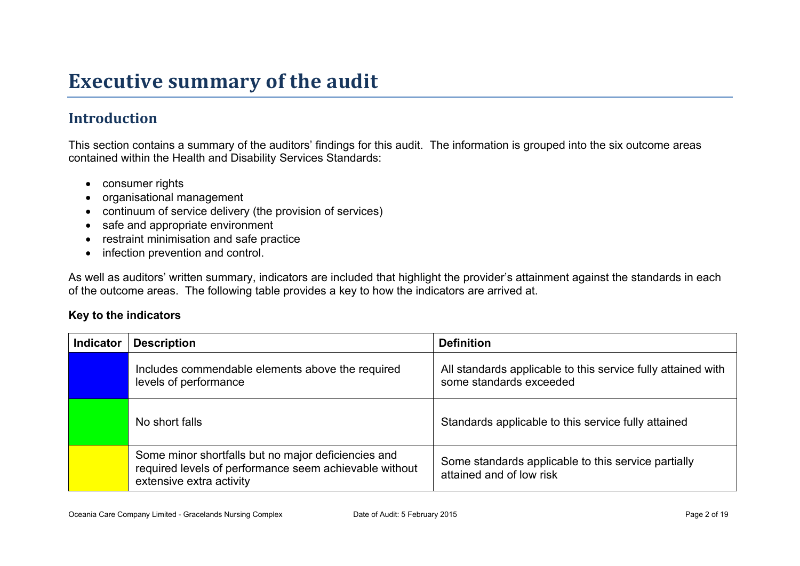# **Executive summary of the audit**

## **Introduction**

This section contains a summary of the auditors' findings for this audit. The information is grouped into the six outcome areas contained within the Health and Disability Services Standards:

- consumer rights
- organisational management
- continuum of service delivery (the provision of services)
- safe and appropriate environment
- restraint minimisation and safe practice
- infection prevention and control.

As well as auditors' written summary, indicators are included that highlight the provider's attainment against the standards in each of the outcome areas. The following table provides a key to how the indicators are arrived at.

#### **Key to the indicators**

| <b>Indicator</b> | <b>Description</b>                                                                                                                        | <b>Definition</b>                                                                       |
|------------------|-------------------------------------------------------------------------------------------------------------------------------------------|-----------------------------------------------------------------------------------------|
|                  | Includes commendable elements above the required<br>levels of performance                                                                 | All standards applicable to this service fully attained with<br>some standards exceeded |
|                  | No short falls                                                                                                                            | Standards applicable to this service fully attained                                     |
|                  | Some minor shortfalls but no major deficiencies and<br>required levels of performance seem achievable without<br>extensive extra activity | Some standards applicable to this service partially<br>attained and of low risk         |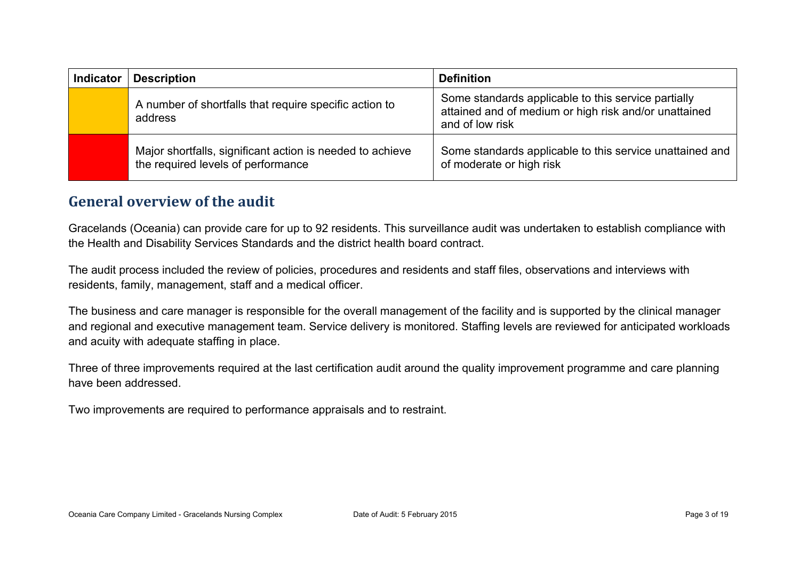| <b>Indicator</b> | <b>Description</b>                                                                              | <b>Definition</b>                                                                                                               |
|------------------|-------------------------------------------------------------------------------------------------|---------------------------------------------------------------------------------------------------------------------------------|
|                  | A number of shortfalls that require specific action to<br>address                               | Some standards applicable to this service partially<br>attained and of medium or high risk and/or unattained<br>and of low risk |
|                  | Major shortfalls, significant action is needed to achieve<br>the required levels of performance | Some standards applicable to this service unattained and<br>of moderate or high risk                                            |

### **General overview of the audit**

Gracelands (Oceania) can provide care for up to 92 residents. This surveillance audit was undertaken to establish compliance with the Health and Disability Services Standards and the district health board contract.

The audit process included the review of policies, procedures and residents and staff files, observations and interviews with residents, family, management, staff and a medical officer.

The business and care manager is responsible for the overall management of the facility and is supported by the clinical manager and regional and executive management team. Service delivery is monitored. Staffing levels are reviewed for anticipated workloads and acuity with adequate staffing in place.

Three of three improvements required at the last certification audit around the quality improvement programme and care planning have been addressed.

Two improvements are required to performance appraisals and to restraint.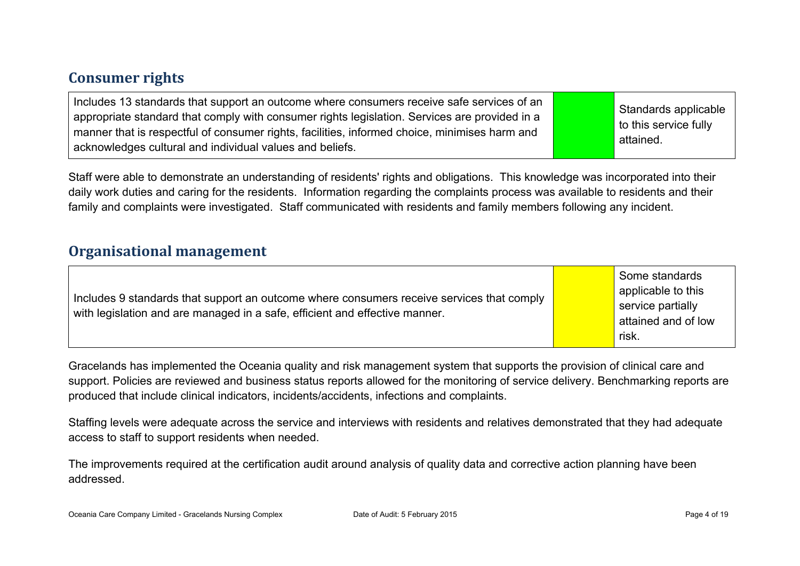### **Consumer rights**

| Includes 13 standards that support an outcome where consumers receive safe services of an<br>appropriate standard that comply with consumer rights legislation. Services are provided in a<br>manner that is respectful of consumer rights, facilities, informed choice, minimises harm and<br>acknowledges cultural and individual values and beliefs. |  | Standards applicable<br>$\vert$ to this service fully<br>attained. |
|---------------------------------------------------------------------------------------------------------------------------------------------------------------------------------------------------------------------------------------------------------------------------------------------------------------------------------------------------------|--|--------------------------------------------------------------------|
|---------------------------------------------------------------------------------------------------------------------------------------------------------------------------------------------------------------------------------------------------------------------------------------------------------------------------------------------------------|--|--------------------------------------------------------------------|

Staff were able to demonstrate an understanding of residents' rights and obligations. This knowledge was incorporated into their daily work duties and caring for the residents. Information regarding the complaints process was available to residents and their family and complaints were investigated. Staff communicated with residents and family members following any incident.

### **Organisational management**

| Includes 9 standards that support an outcome where consumers receive services that comply<br>with legislation and are managed in a safe, efficient and effective manner. |  | Some standards<br>applicable to this<br>service partially<br>attained and of low<br>risk. |
|--------------------------------------------------------------------------------------------------------------------------------------------------------------------------|--|-------------------------------------------------------------------------------------------|
|--------------------------------------------------------------------------------------------------------------------------------------------------------------------------|--|-------------------------------------------------------------------------------------------|

Gracelands has implemented the Oceania quality and risk management system that supports the provision of clinical care and support. Policies are reviewed and business status reports allowed for the monitoring of service delivery. Benchmarking reports are produced that include clinical indicators, incidents/accidents, infections and complaints.

Staffing levels were adequate across the service and interviews with residents and relatives demonstrated that they had adequate access to staff to support residents when needed.

The improvements required at the certification audit around analysis of quality data and corrective action planning have been addressed.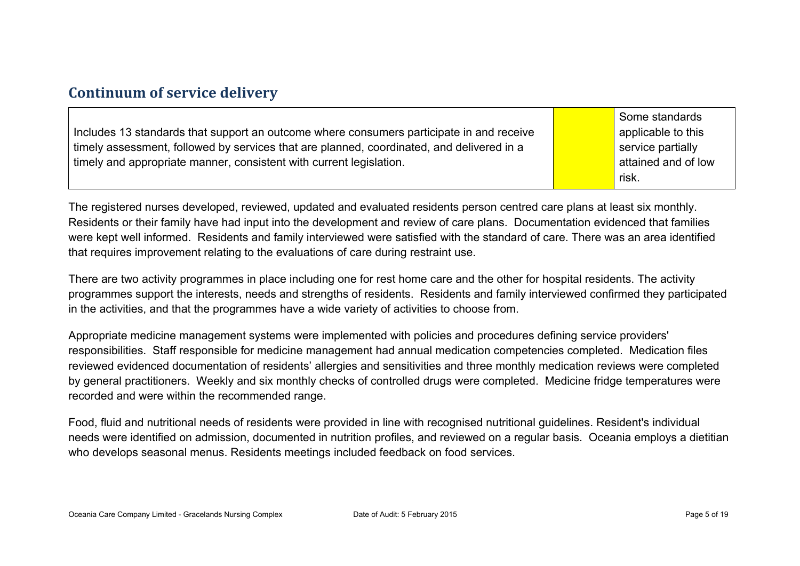### **Continuum of service delivery**

|                                                                                           | Some standards      |
|-------------------------------------------------------------------------------------------|---------------------|
| Includes 13 standards that support an outcome where consumers participate in and receive  | applicable to this  |
| timely assessment, followed by services that are planned, coordinated, and delivered in a | service partially   |
| timely and appropriate manner, consistent with current legislation.                       | attained and of low |
|                                                                                           | risk.               |

The registered nurses developed, reviewed, updated and evaluated residents person centred care plans at least six monthly. Residents or their family have had input into the development and review of care plans. Documentation evidenced that families were kept well informed. Residents and family interviewed were satisfied with the standard of care. There was an area identified that requires improvement relating to the evaluations of care during restraint use.

There are two activity programmes in place including one for rest home care and the other for hospital residents. The activity programmes support the interests, needs and strengths of residents. Residents and family interviewed confirmed they participated in the activities, and that the programmes have a wide variety of activities to choose from.

Appropriate medicine management systems were implemented with policies and procedures defining service providers' responsibilities. Staff responsible for medicine management had annual medication competencies completed. Medication files reviewed evidenced documentation of residents' allergies and sensitivities and three monthly medication reviews were completed by general practitioners. Weekly and six monthly checks of controlled drugs were completed. Medicine fridge temperatures were recorded and were within the recommended range.

Food, fluid and nutritional needs of residents were provided in line with recognised nutritional guidelines. Resident's individual needs were identified on admission, documented in nutrition profiles, and reviewed on a regular basis. Oceania employs a dietitian who develops seasonal menus. Residents meetings included feedback on food services.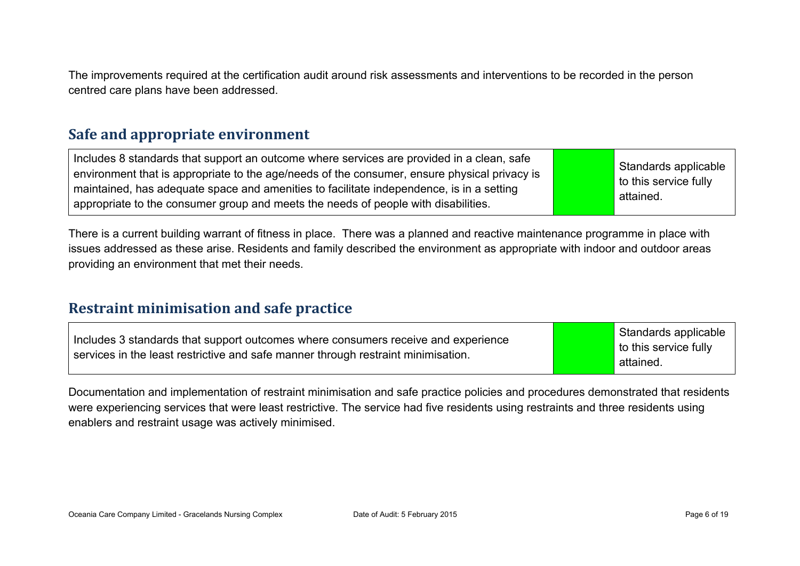The improvements required at the certification audit around risk assessments and interventions to be recorded in the person centred care plans have been addressed.

#### **Safe and appropriate environment**

Includes 8 standards that support an outcome where services are provided in a clean, safe environment that is appropriate to the age/needs of the consumer, ensure physical privacy is maintained, has adequate space and amenities to facilitate independence, is in a setting appropriate to the consumer group and meets the needs of people with disabilities.

Standards applicable to this service fully attained.

There is a current building warrant of fitness in place. There was a planned and reactive maintenance programme in place with issues addressed as these arise. Residents and family described the environment as appropriate with indoor and outdoor areas providing an environment that met their needs.

#### **Restraint minimisation and safe practice**

| Includes 3 standards that support outcomes where consumers receive and experience<br>services in the least restrictive and safe manner through restraint minimisation. | Standards applicable<br>to this service fully<br>attained. |
|------------------------------------------------------------------------------------------------------------------------------------------------------------------------|------------------------------------------------------------|
|------------------------------------------------------------------------------------------------------------------------------------------------------------------------|------------------------------------------------------------|

Documentation and implementation of restraint minimisation and safe practice policies and procedures demonstrated that residents were experiencing services that were least restrictive. The service had five residents using restraints and three residents using enablers and restraint usage was actively minimised.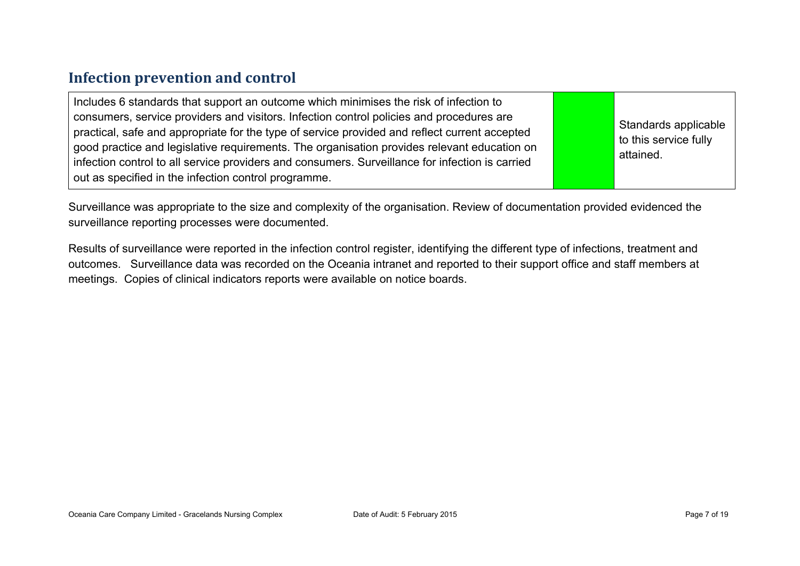### **Infection prevention and control**

| Includes 6 standards that support an outcome which minimises the risk of infection to<br>consumers, service providers and visitors. Infection control policies and procedures are<br>practical, safe and appropriate for the type of service provided and reflect current accepted<br>good practice and legislative requirements. The organisation provides relevant education on<br>infection control to all service providers and consumers. Surveillance for infection is carried<br>out as specified in the infection control programme. |  | Standards applicable<br>to this service fully<br>attained. |
|----------------------------------------------------------------------------------------------------------------------------------------------------------------------------------------------------------------------------------------------------------------------------------------------------------------------------------------------------------------------------------------------------------------------------------------------------------------------------------------------------------------------------------------------|--|------------------------------------------------------------|
|----------------------------------------------------------------------------------------------------------------------------------------------------------------------------------------------------------------------------------------------------------------------------------------------------------------------------------------------------------------------------------------------------------------------------------------------------------------------------------------------------------------------------------------------|--|------------------------------------------------------------|

Surveillance was appropriate to the size and complexity of the organisation. Review of documentation provided evidenced the surveillance reporting processes were documented.

Results of surveillance were reported in the infection control register, identifying the different type of infections, treatment and outcomes. Surveillance data was recorded on the Oceania intranet and reported to their support office and staff members at meetings. Copies of clinical indicators reports were available on notice boards.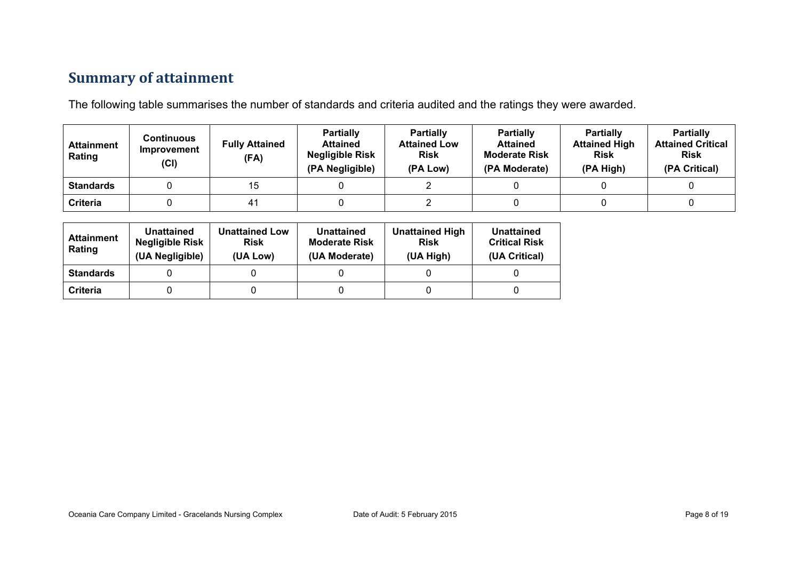## **Summary of attainment**

The following table summarises the number of standards and criteria audited and the ratings they were awarded.

| <b>Attainment</b><br>Rating | Continuous<br>Improvement<br>(Cl) | <b>Fully Attained</b><br>(FA) | <b>Partially</b><br><b>Attained</b><br><b>Negligible Risk</b><br>(PA Negligible) | <b>Partially</b><br><b>Attained Low</b><br><b>Risk</b><br>(PA Low) | <b>Partially</b><br><b>Attained</b><br><b>Moderate Risk</b><br>(PA Moderate) | <b>Partially</b><br><b>Attained High</b><br><b>Risk</b><br>(PA High) | <b>Partially</b><br><b>Attained Critical</b><br><b>Risk</b><br>(PA Critical) |
|-----------------------------|-----------------------------------|-------------------------------|----------------------------------------------------------------------------------|--------------------------------------------------------------------|------------------------------------------------------------------------------|----------------------------------------------------------------------|------------------------------------------------------------------------------|
| <b>Standards</b>            |                                   | 15                            |                                                                                  |                                                                    |                                                                              |                                                                      |                                                                              |
| Criteria                    |                                   | 41                            |                                                                                  |                                                                    |                                                                              |                                                                      |                                                                              |

| <b>Attainment</b><br>Rating | Unattained<br><b>Negligible Risk</b><br>(UA Negligible) | <b>Unattained Low</b><br><b>Risk</b><br>(UA Low) | Unattained<br><b>Moderate Risk</b><br>(UA Moderate) | <b>Unattained High</b><br><b>Risk</b><br>(UA High) | Unattained<br><b>Critical Risk</b><br>(UA Critical) |
|-----------------------------|---------------------------------------------------------|--------------------------------------------------|-----------------------------------------------------|----------------------------------------------------|-----------------------------------------------------|
| <b>Standards</b>            |                                                         |                                                  |                                                     |                                                    |                                                     |
| Criteria                    |                                                         |                                                  |                                                     |                                                    |                                                     |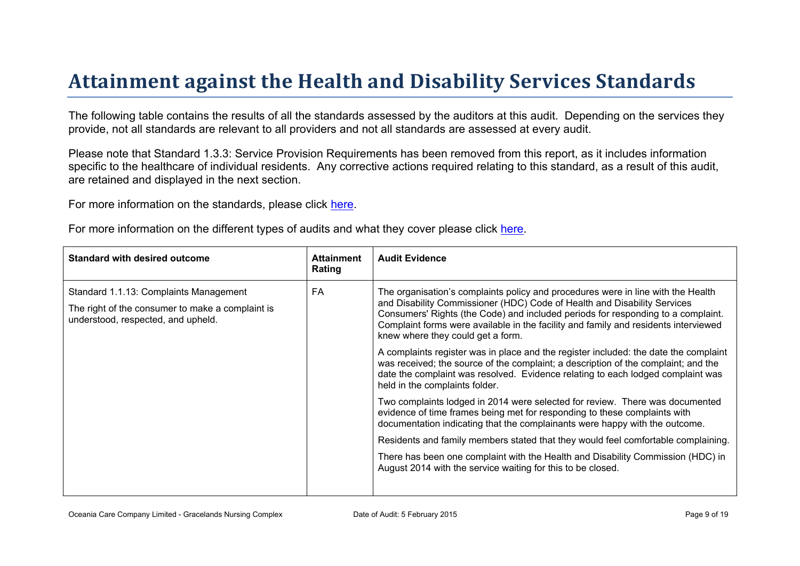# Attainment against the Health and Disability Ser vices Standar ds

The following table contains the results of all the standards assessed by the auditors at this audit. Depending on the services they provide, not all standards are relevant to all providers and not all standards are assessed at every audit.

Please note that Standard 1.3.3: Service Provision Requirements has been removed from this report, as it includes information specific to the healthcare of individual residents. Any corrective actions required relating to this standard, as a result of this audit. are retained and displayed in the next section.

For more information on the standards, please click [here](http://www.health.govt.nz/our-work/regulation-health-and-disability-system/certification-health-care-services/health-and-disability-services-standards).

For more information on the different types of audits and what they cover please click [here.](http://www.health.govt.nz/your-health/services-and-support/health-care-services/services-older-people/rest-home-certification-and-audits)

| Standard with desired outcome                                                                                                    | Attainment<br>Rating | Audit Evidence                                                                                                                                                                                                                                                                                                                                                                                                                                                                                                                                                                                                                                                                                                                                                                                                                                                                                                                                                                                                                                                                                                                                                     |
|----------------------------------------------------------------------------------------------------------------------------------|----------------------|--------------------------------------------------------------------------------------------------------------------------------------------------------------------------------------------------------------------------------------------------------------------------------------------------------------------------------------------------------------------------------------------------------------------------------------------------------------------------------------------------------------------------------------------------------------------------------------------------------------------------------------------------------------------------------------------------------------------------------------------------------------------------------------------------------------------------------------------------------------------------------------------------------------------------------------------------------------------------------------------------------------------------------------------------------------------------------------------------------------------------------------------------------------------|
| Standard 1.1.13: Complaints Management<br>The right of the consumer to make a complaint is<br>understood, respected, and upheld. | FA                   | The organisation's complaints policy and procedures were in line with the Health<br>and Disability Commissioner (HDC) Code of Health and Disability Services<br>Consumers' Rights (the Code) and included periods for responding to a complaint.<br>Complaint forms were available in the facility and family and residents interviewed<br>knew where they could get a form.<br>A complaints register was in place and the register included: the date the complaint<br>was received; the source of the complaint; a description of the complaint; and the<br>date the complaint was resolved. Evidence relating to each lodged complaint was<br>held in the complaints folder.<br>Two complaints lodged in 2014 were selected for review. There was documented<br>evidence of time frames being met for responding to these complaints with<br>documentation indicating that the complainants were happy with the outcome.<br>Residents and family members stated that they would feel comfortable complaining.<br>There has been one complaint with the Health and Disability Commission (HDC) in<br>August 2014 with the service waiting for this to be closed. |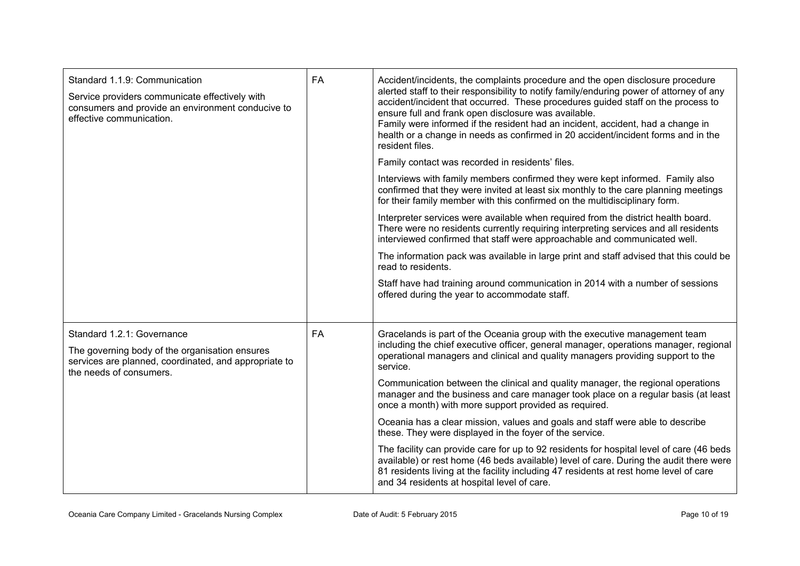| Standard 1.1.9: Communication<br>Service providers communicate effectively with<br>consumers and provide an environment conducive to<br>effective communication. | <b>FA</b> | Accident/incidents, the complaints procedure and the open disclosure procedure<br>alerted staff to their responsibility to notify family/enduring power of attorney of any<br>accident/incident that occurred. These procedures guided staff on the process to<br>ensure full and frank open disclosure was available.<br>Family were informed if the resident had an incident, accident, had a change in<br>health or a change in needs as confirmed in 20 accident/incident forms and in the<br>resident files.<br>Family contact was recorded in residents' files. |
|------------------------------------------------------------------------------------------------------------------------------------------------------------------|-----------|-----------------------------------------------------------------------------------------------------------------------------------------------------------------------------------------------------------------------------------------------------------------------------------------------------------------------------------------------------------------------------------------------------------------------------------------------------------------------------------------------------------------------------------------------------------------------|
|                                                                                                                                                                  |           | Interviews with family members confirmed they were kept informed. Family also<br>confirmed that they were invited at least six monthly to the care planning meetings<br>for their family member with this confirmed on the multidisciplinary form.                                                                                                                                                                                                                                                                                                                    |
|                                                                                                                                                                  |           | Interpreter services were available when required from the district health board.<br>There were no residents currently requiring interpreting services and all residents<br>interviewed confirmed that staff were approachable and communicated well.                                                                                                                                                                                                                                                                                                                 |
|                                                                                                                                                                  |           | The information pack was available in large print and staff advised that this could be<br>read to residents.                                                                                                                                                                                                                                                                                                                                                                                                                                                          |
|                                                                                                                                                                  |           | Staff have had training around communication in 2014 with a number of sessions<br>offered during the year to accommodate staff.                                                                                                                                                                                                                                                                                                                                                                                                                                       |
| Standard 1.2.1: Governance<br>The governing body of the organisation ensures<br>services are planned, coordinated, and appropriate to<br>the needs of consumers. | <b>FA</b> | Gracelands is part of the Oceania group with the executive management team<br>including the chief executive officer, general manager, operations manager, regional<br>operational managers and clinical and quality managers providing support to the<br>service.                                                                                                                                                                                                                                                                                                     |
|                                                                                                                                                                  |           | Communication between the clinical and quality manager, the regional operations<br>manager and the business and care manager took place on a regular basis (at least<br>once a month) with more support provided as required.                                                                                                                                                                                                                                                                                                                                         |
|                                                                                                                                                                  |           | Oceania has a clear mission, values and goals and staff were able to describe<br>these. They were displayed in the foyer of the service.                                                                                                                                                                                                                                                                                                                                                                                                                              |
|                                                                                                                                                                  |           | The facility can provide care for up to 92 residents for hospital level of care (46 beds<br>available) or rest home (46 beds available) level of care. During the audit there were<br>81 residents living at the facility including 47 residents at rest home level of care<br>and 34 residents at hospital level of care.                                                                                                                                                                                                                                            |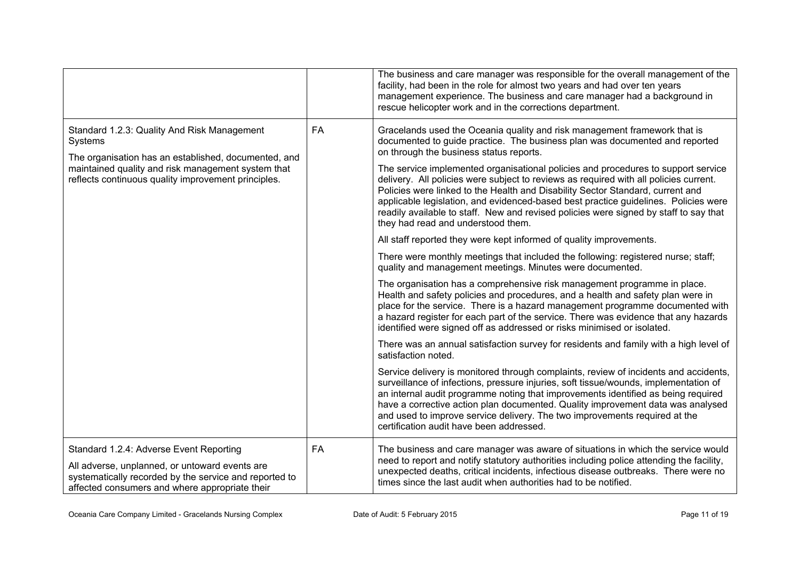|                                                                                                                                                                                                                             |           | The business and care manager was responsible for the overall management of the<br>facility, had been in the role for almost two years and had over ten years<br>management experience. The business and care manager had a background in<br>rescue helicopter work and in the corrections department.                                                                                                                                                                                                                                                                                                                                                                                                                                                                                                                                                                                                                                                                                                                                                                                                                                                                                                                                                                                                                                                                                                                                                                                                                                                                                                                                                                                                                                                                                                                                                                                                                                 |
|-----------------------------------------------------------------------------------------------------------------------------------------------------------------------------------------------------------------------------|-----------|----------------------------------------------------------------------------------------------------------------------------------------------------------------------------------------------------------------------------------------------------------------------------------------------------------------------------------------------------------------------------------------------------------------------------------------------------------------------------------------------------------------------------------------------------------------------------------------------------------------------------------------------------------------------------------------------------------------------------------------------------------------------------------------------------------------------------------------------------------------------------------------------------------------------------------------------------------------------------------------------------------------------------------------------------------------------------------------------------------------------------------------------------------------------------------------------------------------------------------------------------------------------------------------------------------------------------------------------------------------------------------------------------------------------------------------------------------------------------------------------------------------------------------------------------------------------------------------------------------------------------------------------------------------------------------------------------------------------------------------------------------------------------------------------------------------------------------------------------------------------------------------------------------------------------------------|
| Standard 1.2.3: Quality And Risk Management<br>Systems<br>The organisation has an established, documented, and<br>maintained quality and risk management system that<br>reflects continuous quality improvement principles. | <b>FA</b> | Gracelands used the Oceania quality and risk management framework that is<br>documented to guide practice. The business plan was documented and reported<br>on through the business status reports.<br>The service implemented organisational policies and procedures to support service<br>delivery. All policies were subject to reviews as required with all policies current.<br>Policies were linked to the Health and Disability Sector Standard, current and<br>applicable legislation, and evidenced-based best practice guidelines. Policies were<br>readily available to staff. New and revised policies were signed by staff to say that<br>they had read and understood them.<br>All staff reported they were kept informed of quality improvements.<br>There were monthly meetings that included the following: registered nurse; staff;<br>quality and management meetings. Minutes were documented.<br>The organisation has a comprehensive risk management programme in place.<br>Health and safety policies and procedures, and a health and safety plan were in<br>place for the service. There is a hazard management programme documented with<br>a hazard register for each part of the service. There was evidence that any hazards<br>identified were signed off as addressed or risks minimised or isolated.<br>There was an annual satisfaction survey for residents and family with a high level of<br>satisfaction noted.<br>Service delivery is monitored through complaints, review of incidents and accidents,<br>surveillance of infections, pressure injuries, soft tissue/wounds, implementation of<br>an internal audit programme noting that improvements identified as being required<br>have a corrective action plan documented. Quality improvement data was analysed<br>and used to improve service delivery. The two improvements required at the<br>certification audit have been addressed. |
| Standard 1.2.4: Adverse Event Reporting<br>All adverse, unplanned, or untoward events are<br>systematically recorded by the service and reported to<br>affected consumers and where appropriate their                       | <b>FA</b> | The business and care manager was aware of situations in which the service would<br>need to report and notify statutory authorities including police attending the facility,<br>unexpected deaths, critical incidents, infectious disease outbreaks. There were no<br>times since the last audit when authorities had to be notified.                                                                                                                                                                                                                                                                                                                                                                                                                                                                                                                                                                                                                                                                                                                                                                                                                                                                                                                                                                                                                                                                                                                                                                                                                                                                                                                                                                                                                                                                                                                                                                                                  |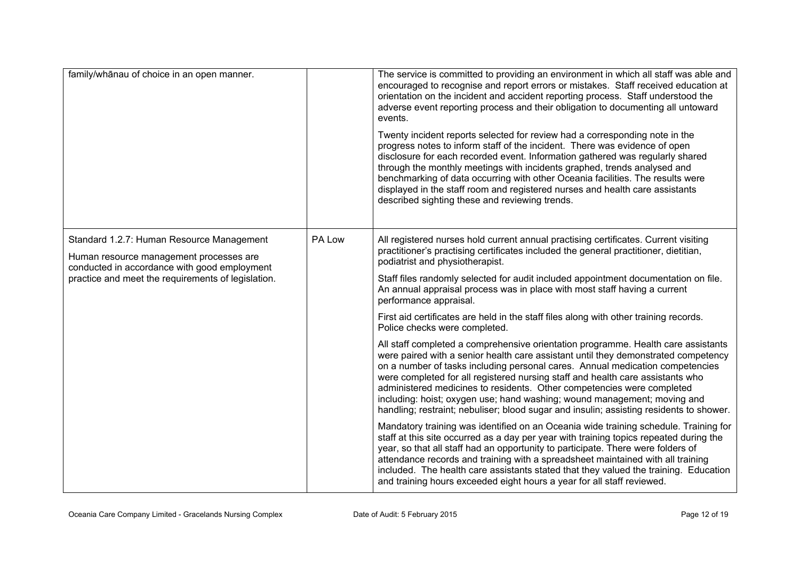| family/whānau of choice in an open manner.                                                                                                                                                 |        | The service is committed to providing an environment in which all staff was able and<br>encouraged to recognise and report errors or mistakes. Staff received education at<br>orientation on the incident and accident reporting process. Staff understood the<br>adverse event reporting process and their obligation to documenting all untoward<br>events.<br>Twenty incident reports selected for review had a corresponding note in the                                                                                                                                                |  |
|--------------------------------------------------------------------------------------------------------------------------------------------------------------------------------------------|--------|---------------------------------------------------------------------------------------------------------------------------------------------------------------------------------------------------------------------------------------------------------------------------------------------------------------------------------------------------------------------------------------------------------------------------------------------------------------------------------------------------------------------------------------------------------------------------------------------|--|
|                                                                                                                                                                                            |        | progress notes to inform staff of the incident. There was evidence of open<br>disclosure for each recorded event. Information gathered was regularly shared<br>through the monthly meetings with incidents graphed, trends analysed and<br>benchmarking of data occurring with other Oceania facilities. The results were<br>displayed in the staff room and registered nurses and health care assistants<br>described sighting these and reviewing trends.                                                                                                                                 |  |
| Standard 1.2.7: Human Resource Management<br>Human resource management processes are<br>conducted in accordance with good employment<br>practice and meet the requirements of legislation. | PA Low | All registered nurses hold current annual practising certificates. Current visiting<br>practitioner's practising certificates included the general practitioner, dietitian,<br>podiatrist and physiotherapist.                                                                                                                                                                                                                                                                                                                                                                              |  |
|                                                                                                                                                                                            |        | Staff files randomly selected for audit included appointment documentation on file.<br>An annual appraisal process was in place with most staff having a current<br>performance appraisal.                                                                                                                                                                                                                                                                                                                                                                                                  |  |
|                                                                                                                                                                                            |        | First aid certificates are held in the staff files along with other training records.<br>Police checks were completed.                                                                                                                                                                                                                                                                                                                                                                                                                                                                      |  |
|                                                                                                                                                                                            |        | All staff completed a comprehensive orientation programme. Health care assistants<br>were paired with a senior health care assistant until they demonstrated competency<br>on a number of tasks including personal cares. Annual medication competencies<br>were completed for all registered nursing staff and health care assistants who<br>administered medicines to residents. Other competencies were completed<br>including: hoist; oxygen use; hand washing; wound management; moving and<br>handling; restraint; nebuliser; blood sugar and insulin; assisting residents to shower. |  |
|                                                                                                                                                                                            |        | Mandatory training was identified on an Oceania wide training schedule. Training for<br>staff at this site occurred as a day per year with training topics repeated during the<br>year, so that all staff had an opportunity to participate. There were folders of<br>attendance records and training with a spreadsheet maintained with all training<br>included. The health care assistants stated that they valued the training. Education<br>and training hours exceeded eight hours a year for all staff reviewed.                                                                     |  |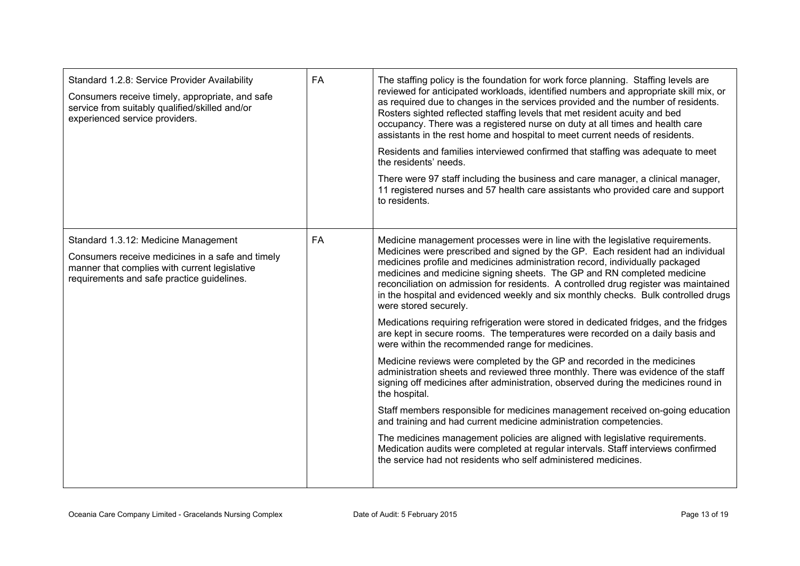| Standard 1.2.8: Service Provider Availability<br>Consumers receive timely, appropriate, and safe<br>service from suitably qualified/skilled and/or<br>experienced service providers.    | <b>FA</b> | The staffing policy is the foundation for work force planning. Staffing levels are<br>reviewed for anticipated workloads, identified numbers and appropriate skill mix, or<br>as required due to changes in the services provided and the number of residents.<br>Rosters sighted reflected staffing levels that met resident acuity and bed<br>occupancy. There was a registered nurse on duty at all times and health care<br>assistants in the rest home and hospital to meet current needs of residents.<br>Residents and families interviewed confirmed that staffing was adequate to meet<br>the residents' needs.<br>There were 97 staff including the business and care manager, a clinical manager,<br>11 registered nurses and 57 health care assistants who provided care and support<br>to residents.                                                                                                                                                                                                                                                                                                                                                                                                                                                                                                                                                                                                                      |
|-----------------------------------------------------------------------------------------------------------------------------------------------------------------------------------------|-----------|----------------------------------------------------------------------------------------------------------------------------------------------------------------------------------------------------------------------------------------------------------------------------------------------------------------------------------------------------------------------------------------------------------------------------------------------------------------------------------------------------------------------------------------------------------------------------------------------------------------------------------------------------------------------------------------------------------------------------------------------------------------------------------------------------------------------------------------------------------------------------------------------------------------------------------------------------------------------------------------------------------------------------------------------------------------------------------------------------------------------------------------------------------------------------------------------------------------------------------------------------------------------------------------------------------------------------------------------------------------------------------------------------------------------------------------|
| Standard 1.3.12: Medicine Management<br>Consumers receive medicines in a safe and timely<br>manner that complies with current legislative<br>requirements and safe practice guidelines. | FA        | Medicine management processes were in line with the legislative requirements.<br>Medicines were prescribed and signed by the GP. Each resident had an individual<br>medicines profile and medicines administration record, individually packaged<br>medicines and medicine signing sheets. The GP and RN completed medicine<br>reconciliation on admission for residents. A controlled drug register was maintained<br>in the hospital and evidenced weekly and six monthly checks. Bulk controlled drugs<br>were stored securely.<br>Medications requiring refrigeration were stored in dedicated fridges, and the fridges<br>are kept in secure rooms. The temperatures were recorded on a daily basis and<br>were within the recommended range for medicines.<br>Medicine reviews were completed by the GP and recorded in the medicines<br>administration sheets and reviewed three monthly. There was evidence of the staff<br>signing off medicines after administration, observed during the medicines round in<br>the hospital.<br>Staff members responsible for medicines management received on-going education<br>and training and had current medicine administration competencies.<br>The medicines management policies are aligned with legislative requirements.<br>Medication audits were completed at regular intervals. Staff interviews confirmed<br>the service had not residents who self administered medicines. |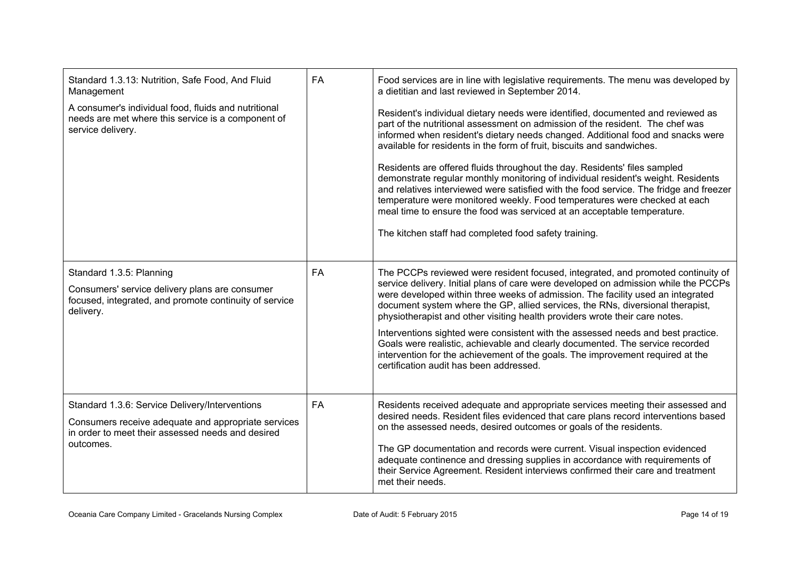| Standard 1.3.13: Nutrition, Safe Food, And Fluid<br>Management                                                                                    | <b>FA</b> | Food services are in line with legislative requirements. The menu was developed by<br>a dietitian and last reviewed in September 2014.                                                                                                                                                                                                                                                                                      |  |
|---------------------------------------------------------------------------------------------------------------------------------------------------|-----------|-----------------------------------------------------------------------------------------------------------------------------------------------------------------------------------------------------------------------------------------------------------------------------------------------------------------------------------------------------------------------------------------------------------------------------|--|
| A consumer's individual food, fluids and nutritional<br>needs are met where this service is a component of<br>service delivery.                   |           | Resident's individual dietary needs were identified, documented and reviewed as<br>part of the nutritional assessment on admission of the resident. The chef was<br>informed when resident's dietary needs changed. Additional food and snacks were<br>available for residents in the form of fruit, biscuits and sandwiches.                                                                                               |  |
|                                                                                                                                                   |           | Residents are offered fluids throughout the day. Residents' files sampled<br>demonstrate regular monthly monitoring of individual resident's weight. Residents<br>and relatives interviewed were satisfied with the food service. The fridge and freezer<br>temperature were monitored weekly. Food temperatures were checked at each<br>meal time to ensure the food was serviced at an acceptable temperature.            |  |
|                                                                                                                                                   |           | The kitchen staff had completed food safety training.                                                                                                                                                                                                                                                                                                                                                                       |  |
| Standard 1.3.5: Planning<br>Consumers' service delivery plans are consumer<br>focused, integrated, and promote continuity of service<br>delivery. | <b>FA</b> | The PCCPs reviewed were resident focused, integrated, and promoted continuity of<br>service delivery. Initial plans of care were developed on admission while the PCCPs<br>were developed within three weeks of admission. The facility used an integrated<br>document system where the GP, allied services, the RNs, diversional therapist,<br>physiotherapist and other visiting health providers wrote their care notes. |  |
|                                                                                                                                                   |           | Interventions sighted were consistent with the assessed needs and best practice.<br>Goals were realistic, achievable and clearly documented. The service recorded<br>intervention for the achievement of the goals. The improvement required at the<br>certification audit has been addressed.                                                                                                                              |  |
| Standard 1.3.6: Service Delivery/Interventions<br>Consumers receive adequate and appropriate services                                             | FA        | Residents received adequate and appropriate services meeting their assessed and<br>desired needs. Resident files evidenced that care plans record interventions based<br>on the assessed needs, desired outcomes or goals of the residents.                                                                                                                                                                                 |  |
| in order to meet their assessed needs and desired<br>outcomes.                                                                                    |           | The GP documentation and records were current. Visual inspection evidenced<br>adequate continence and dressing supplies in accordance with requirements of<br>their Service Agreement. Resident interviews confirmed their care and treatment<br>met their needs.                                                                                                                                                           |  |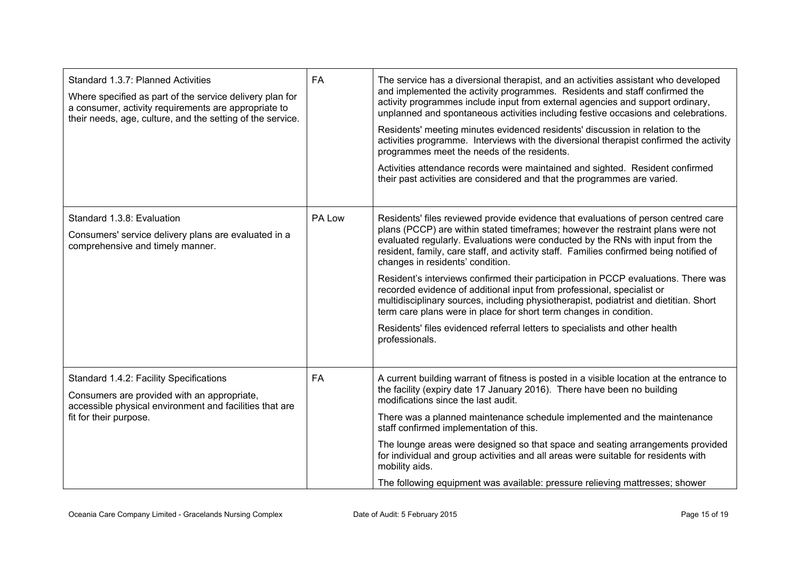| Standard 1.3.7: Planned Activities<br>Where specified as part of the service delivery plan for<br>a consumer, activity requirements are appropriate to<br>their needs, age, culture, and the setting of the service. | <b>FA</b> | The service has a diversional therapist, and an activities assistant who developed<br>and implemented the activity programmes. Residents and staff confirmed the<br>activity programmes include input from external agencies and support ordinary,<br>unplanned and spontaneous activities including festive occasions and celebrations.<br>Residents' meeting minutes evidenced residents' discussion in relation to the<br>activities programme. Interviews with the diversional therapist confirmed the activity<br>programmes meet the needs of the residents.<br>Activities attendance records were maintained and sighted. Resident confirmed<br>their past activities are considered and that the programmes are varied.                                                                                       |
|----------------------------------------------------------------------------------------------------------------------------------------------------------------------------------------------------------------------|-----------|-----------------------------------------------------------------------------------------------------------------------------------------------------------------------------------------------------------------------------------------------------------------------------------------------------------------------------------------------------------------------------------------------------------------------------------------------------------------------------------------------------------------------------------------------------------------------------------------------------------------------------------------------------------------------------------------------------------------------------------------------------------------------------------------------------------------------|
| Standard 1.3.8: Evaluation<br>Consumers' service delivery plans are evaluated in a<br>comprehensive and timely manner.                                                                                               | PA Low    | Residents' files reviewed provide evidence that evaluations of person centred care<br>plans (PCCP) are within stated timeframes; however the restraint plans were not<br>evaluated regularly. Evaluations were conducted by the RNs with input from the<br>resident, family, care staff, and activity staff. Families confirmed being notified of<br>changes in residents' condition.<br>Resident's interviews confirmed their participation in PCCP evaluations. There was<br>recorded evidence of additional input from professional, specialist or<br>multidisciplinary sources, including physiotherapist, podiatrist and dietitian. Short<br>term care plans were in place for short term changes in condition.<br>Residents' files evidenced referral letters to specialists and other health<br>professionals. |
| Standard 1.4.2: Facility Specifications<br>Consumers are provided with an appropriate,<br>accessible physical environment and facilities that are<br>fit for their purpose.                                          | <b>FA</b> | A current building warrant of fitness is posted in a visible location at the entrance to<br>the facility (expiry date 17 January 2016). There have been no building<br>modifications since the last audit.<br>There was a planned maintenance schedule implemented and the maintenance<br>staff confirmed implementation of this.<br>The lounge areas were designed so that space and seating arrangements provided<br>for individual and group activities and all areas were suitable for residents with<br>mobility aids.<br>The following equipment was available: pressure relieving mattresses; shower                                                                                                                                                                                                           |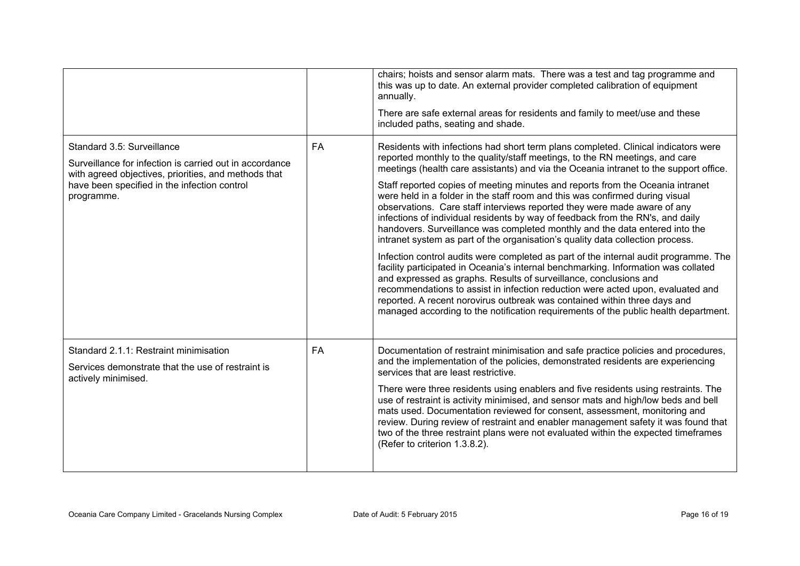|                                                                                                                                                                                                             |           | chairs; hoists and sensor alarm mats. There was a test and tag programme and<br>this was up to date. An external provider completed calibration of equipment<br>annually.<br>There are safe external areas for residents and family to meet/use and these<br>included paths, seating and shade.                                                                                                                                                                                                                                                                                                                                                                                                                                                                                                                                                                                                                                                                                                                                                                                                                                                                                                                                                                        |
|-------------------------------------------------------------------------------------------------------------------------------------------------------------------------------------------------------------|-----------|------------------------------------------------------------------------------------------------------------------------------------------------------------------------------------------------------------------------------------------------------------------------------------------------------------------------------------------------------------------------------------------------------------------------------------------------------------------------------------------------------------------------------------------------------------------------------------------------------------------------------------------------------------------------------------------------------------------------------------------------------------------------------------------------------------------------------------------------------------------------------------------------------------------------------------------------------------------------------------------------------------------------------------------------------------------------------------------------------------------------------------------------------------------------------------------------------------------------------------------------------------------------|
| Standard 3.5: Surveillance<br>Surveillance for infection is carried out in accordance<br>with agreed objectives, priorities, and methods that<br>have been specified in the infection control<br>programme. | FA        | Residents with infections had short term plans completed. Clinical indicators were<br>reported monthly to the quality/staff meetings, to the RN meetings, and care<br>meetings (health care assistants) and via the Oceania intranet to the support office.<br>Staff reported copies of meeting minutes and reports from the Oceania intranet<br>were held in a folder in the staff room and this was confirmed during visual<br>observations. Care staff interviews reported they were made aware of any<br>infections of individual residents by way of feedback from the RN's, and daily<br>handovers. Surveillance was completed monthly and the data entered into the<br>intranet system as part of the organisation's quality data collection process.<br>Infection control audits were completed as part of the internal audit programme. The<br>facility participated in Oceania's internal benchmarking. Information was collated<br>and expressed as graphs. Results of surveillance, conclusions and<br>recommendations to assist in infection reduction were acted upon, evaluated and<br>reported. A recent norovirus outbreak was contained within three days and<br>managed according to the notification requirements of the public health department. |
| Standard 2.1.1: Restraint minimisation<br>Services demonstrate that the use of restraint is<br>actively minimised.                                                                                          | <b>FA</b> | Documentation of restraint minimisation and safe practice policies and procedures,<br>and the implementation of the policies, demonstrated residents are experiencing<br>services that are least restrictive.<br>There were three residents using enablers and five residents using restraints. The<br>use of restraint is activity minimised, and sensor mats and high/low beds and bell<br>mats used. Documentation reviewed for consent, assessment, monitoring and<br>review. During review of restraint and enabler management safety it was found that<br>two of the three restraint plans were not evaluated within the expected timeframes<br>(Refer to criterion 1.3.8.2).                                                                                                                                                                                                                                                                                                                                                                                                                                                                                                                                                                                    |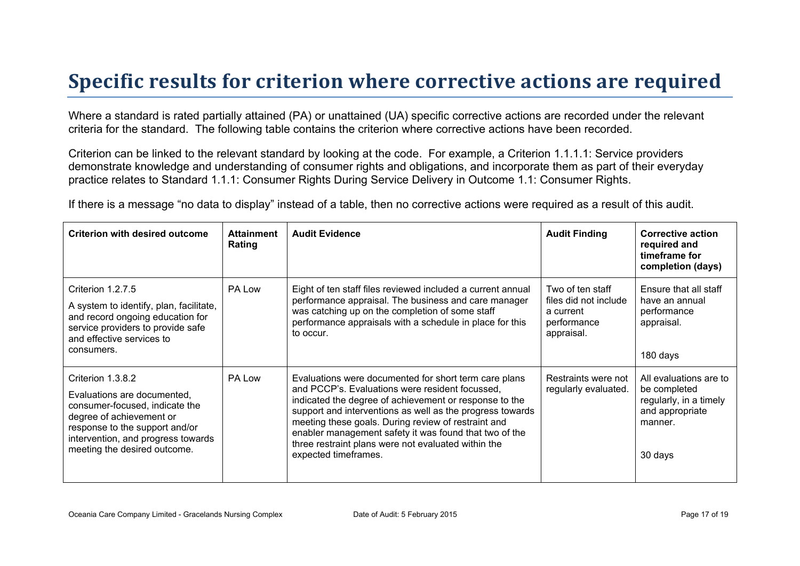# **Specific results for criterion where corrective actions are required**

Where a standard is rated partially attained (PA) or unattained (UA) specific corrective actions are recorded under the relevant criteria for the standard. The following table contains the criterion where corrective actions have been recorded.

Criterion can be linked to the relevant standard by looking at the code. For example, a Criterion 1.1.1.1: Service providers demonstrate knowledge and understanding of consumer rights and obligations, and incorporate them as part of their everyday practice relates to Standard 1.1.1: Consumer Rights During Service Delivery in Outcome 1.1: Consumer Rights.

If there is a message "no data to display" instead of a table, then no corrective actions were required as a result of this audit.

| <b>Criterion with desired outcome</b>                                                                                                                                                                                  | <b>Attainment</b><br>Rating | <b>Audit Evidence</b>                                                                                                                                                                                                                                                                                                                                                                                                           | <b>Audit Finding</b>                                                                | <b>Corrective action</b><br>required and<br>timeframe for<br>completion (days)                            |
|------------------------------------------------------------------------------------------------------------------------------------------------------------------------------------------------------------------------|-----------------------------|---------------------------------------------------------------------------------------------------------------------------------------------------------------------------------------------------------------------------------------------------------------------------------------------------------------------------------------------------------------------------------------------------------------------------------|-------------------------------------------------------------------------------------|-----------------------------------------------------------------------------------------------------------|
| Criterion 1.2.7.5<br>A system to identify, plan, facilitate,<br>and record ongoing education for<br>service providers to provide safe<br>and effective services to<br>consumers.                                       | PA Low                      | Eight of ten staff files reviewed included a current annual<br>performance appraisal. The business and care manager<br>was catching up on the completion of some staff<br>performance appraisals with a schedule in place for this<br>to occur.                                                                                                                                                                                 | Two of ten staff<br>files did not include<br>a current<br>performance<br>appraisal. | Ensure that all staff<br>have an annual<br>performance<br>appraisal.<br>180 days                          |
| Criterion 1.3.8.2<br>Evaluations are documented.<br>consumer-focused, indicate the<br>degree of achievement or<br>response to the support and/or<br>intervention, and progress towards<br>meeting the desired outcome. | PA Low                      | Evaluations were documented for short term care plans<br>and PCCP's. Evaluations were resident focussed.<br>indicated the degree of achievement or response to the<br>support and interventions as well as the progress towards<br>meeting these goals. During review of restraint and<br>enabler management safety it was found that two of the<br>three restraint plans were not evaluated within the<br>expected timeframes. | Restraints were not<br>regularly evaluated.                                         | All evaluations are to<br>be completed<br>regularly, in a timely<br>and appropriate<br>manner.<br>30 days |